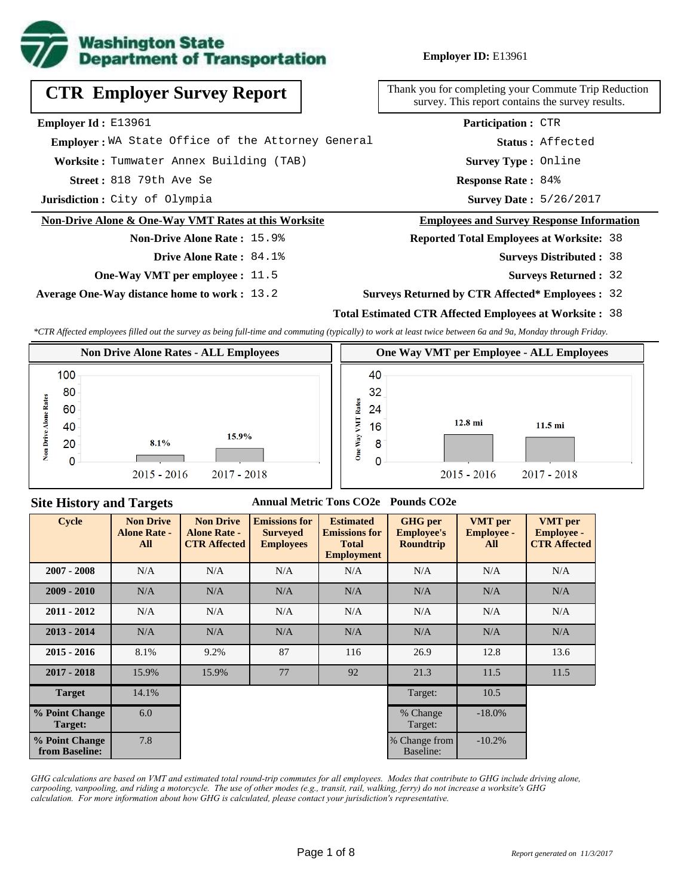

**Employer ID:** E13961

# **CTR Employer Survey Report**

**Employer Id :** E13961

 **Employer :** WA State Office of the Attorney General

**Worksite :** Tumwater Annex Building (TAB)

818 79th Ave Se **Response Rate : Street :**

**Jurisdiction :** City of Olympia

#### **Non-Drive Alone & One-Way VMT Rates at this Worksite**

### **Non-Drive Alone Rate :** 15.9% **Drive Alone Rate :** 84.1%

**One-Way VMT per employee :** 11.5

**Average One-Way distance home to work :** 13.2

Thank you for completing your Commute Trip Reduction survey. This report contains the survey results.

> Response Rate: 84% **Survey Type :** Online **Status :** Affected **Participation :** CTR

Survey Date: 5/26/2017

#### **Employees and Survey Response Information**

**Reported Total Employees at Worksite:** 38

- 38 **Surveys Distributed :**
	- **Surveys Returned :** 32

#### **Surveys Returned by CTR Affected\* Employees :** 32

#### **Total Estimated CTR Affected Employees at Worksite :** 38

*\*CTR Affected employees filled out the survey as being full-time and commuting (typically) to work at least twice between 6a and 9a, Monday through Friday.*



### **Site History and Targets**

#### **Annual Metric Tons CO2e Pounds CO2e**

| <b>Cycle</b>                     | <b>Non Drive</b><br><b>Alone Rate -</b><br>All | <b>Non Drive</b><br><b>Alone Rate -</b><br><b>CTR Affected</b> | <b>Emissions for</b><br><b>Surveyed</b><br><b>Employees</b> | <b>Estimated</b><br><b>Emissions for</b><br><b>Total</b><br><b>Employment</b> | <b>GHG</b> per<br><b>Employee's</b><br><b>Roundtrip</b> | <b>VMT</b> per<br><b>Employee -</b><br>All | <b>VMT</b> per<br><b>Employee -</b><br><b>CTR Affected</b> |
|----------------------------------|------------------------------------------------|----------------------------------------------------------------|-------------------------------------------------------------|-------------------------------------------------------------------------------|---------------------------------------------------------|--------------------------------------------|------------------------------------------------------------|
| $2007 - 2008$                    | N/A                                            | N/A                                                            | N/A                                                         | N/A                                                                           | N/A                                                     | N/A                                        | N/A                                                        |
| $2009 - 2010$                    | N/A                                            | N/A                                                            | N/A                                                         | N/A                                                                           | N/A                                                     | N/A                                        | N/A                                                        |
| $2011 - 2012$                    | N/A                                            | N/A                                                            | N/A                                                         | N/A                                                                           | N/A                                                     | N/A                                        | N/A                                                        |
| $2013 - 2014$                    | N/A                                            | N/A                                                            | N/A                                                         | N/A                                                                           | N/A                                                     | N/A                                        | N/A                                                        |
| $2015 - 2016$                    | 8.1%                                           | 9.2%                                                           | 87                                                          | 116                                                                           | 26.9                                                    | 12.8                                       | 13.6                                                       |
| $2017 - 2018$                    | 15.9%                                          | 15.9%                                                          | 77                                                          | 92                                                                            | 21.3                                                    | 11.5                                       | 11.5                                                       |
| <b>Target</b>                    | 14.1%                                          |                                                                |                                                             |                                                                               | Target:                                                 | 10.5                                       |                                                            |
| % Point Change<br>Target:        | 6.0                                            |                                                                |                                                             |                                                                               | % Change<br>Target:                                     | $-18.0\%$                                  |                                                            |
| % Point Change<br>from Baseline: | 7.8                                            |                                                                |                                                             |                                                                               | % Change from<br>Baseline:                              | $-10.2%$                                   |                                                            |

*GHG calculations are based on VMT and estimated total round-trip commutes for all employees. Modes that contribute to GHG include driving alone, carpooling, vanpooling, and riding a motorcycle. The use of other modes (e.g., transit, rail, walking, ferry) do not increase a worksite's GHG calculation. For more information about how GHG is calculated, please contact your jurisdiction's representative.*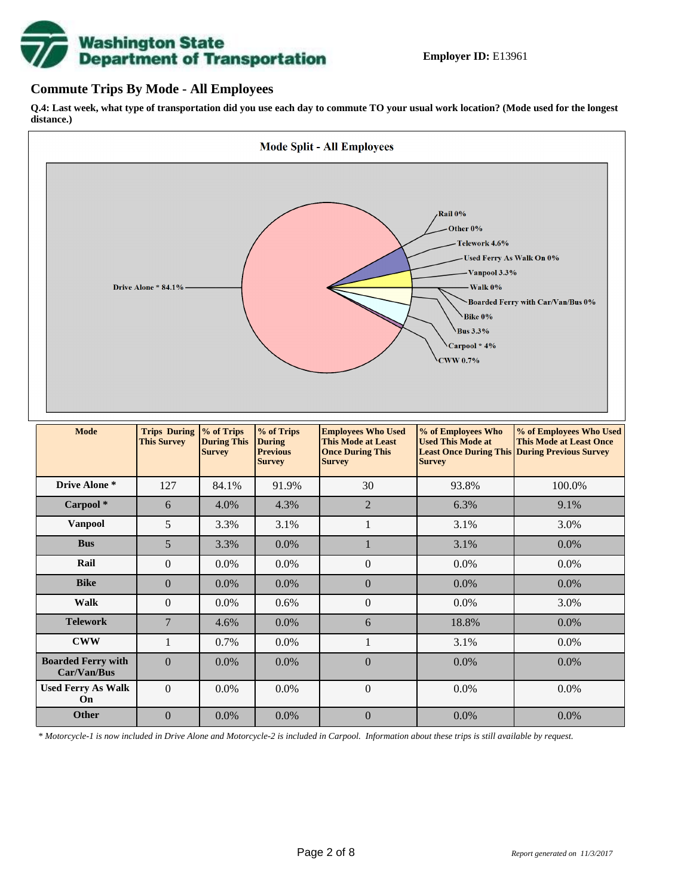

### **Commute Trips By Mode - All Employees**

**Q.4: Last week, what type of transportation did you use each day to commute TO your usual work location? (Mode used for the longest distance.)**



*\* Motorcycle-1 is now included in Drive Alone and Motorcycle-2 is included in Carpool. Information about these trips is still available by request.*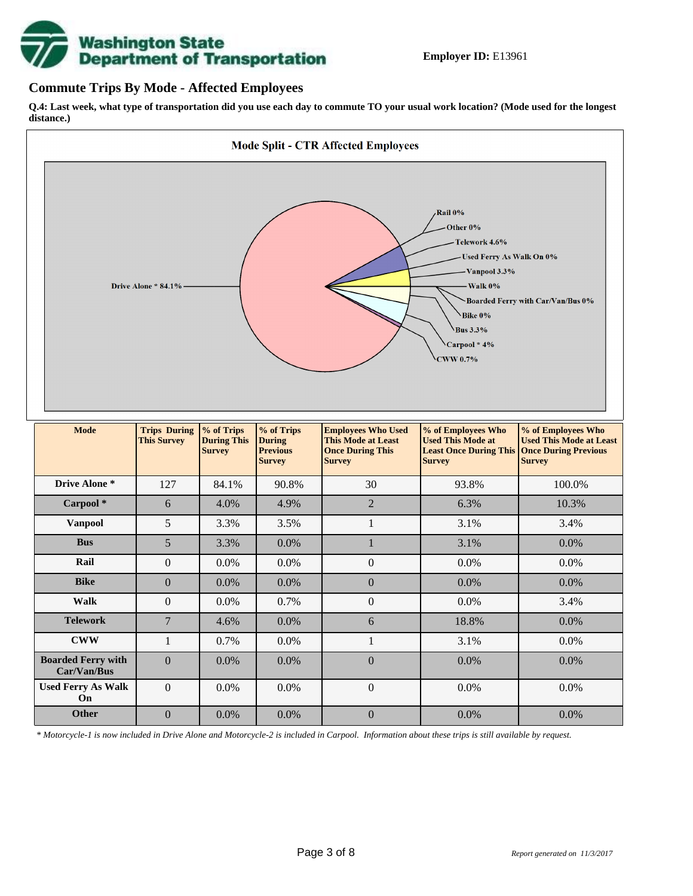

### **Commute Trips By Mode - Affected Employees**

**Q.4: Last week, what type of transportation did you use each day to commute TO your usual work location? (Mode used for the longest distance.)**



*\* Motorcycle-1 is now included in Drive Alone and Motorcycle-2 is included in Carpool. Information about these trips is still available by request.*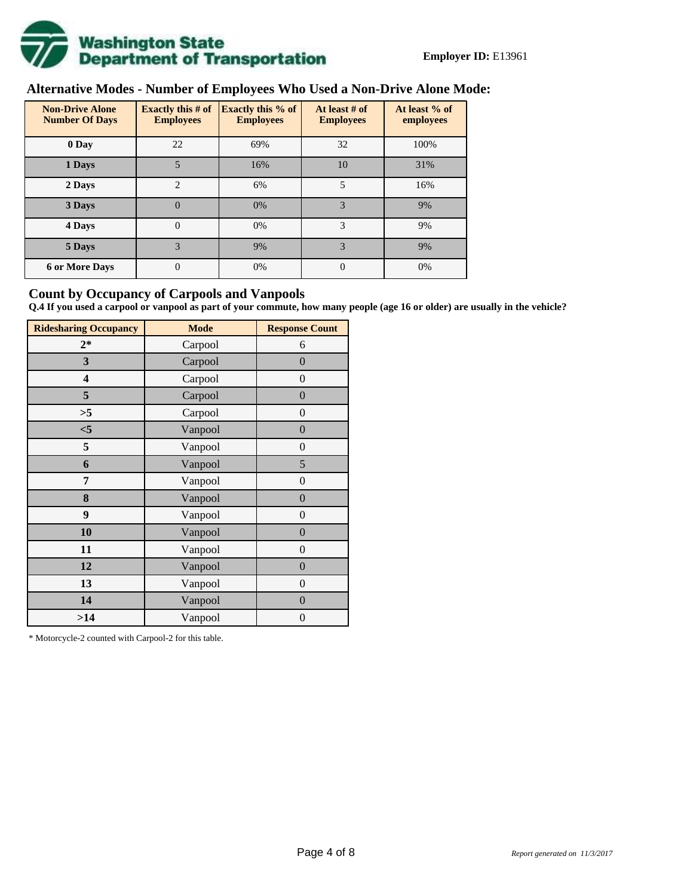

## **Alternative Modes - Number of Employees Who Used a Non-Drive Alone Mode:**

| <b>Non-Drive Alone</b><br><b>Number Of Days</b> | Exactly this $# of$<br><b>Employees</b> | <b>Exactly this % of</b><br><b>Employees</b> | At least # of<br><b>Employees</b> | At least % of<br>employees |  |  |
|-------------------------------------------------|-----------------------------------------|----------------------------------------------|-----------------------------------|----------------------------|--|--|
| 0 Day                                           | 22                                      | 69%                                          | 32                                | 100%                       |  |  |
| 1 Days                                          | 5                                       | 16%                                          | 10                                | 31%                        |  |  |
| 2 Days                                          | $\overline{c}$                          | 6%                                           | 5                                 | 16%                        |  |  |
| 3 Days                                          | $\theta$                                | 0%                                           | 3                                 | 9%                         |  |  |
| 4 Days                                          | $\theta$                                | 0%                                           | 3                                 | 9%                         |  |  |
| 5 Days                                          | 3                                       | 9%                                           | 3                                 | 9%                         |  |  |
| <b>6 or More Days</b>                           | 0                                       | 0%                                           | $\Omega$                          | 0%                         |  |  |

### **Count by Occupancy of Carpools and Vanpools**

**Q.4 If you used a carpool or vanpool as part of your commute, how many people (age 16 or older) are usually in the vehicle?**

| <b>Ridesharing Occupancy</b> | <b>Mode</b> | <b>Response Count</b> |  |  |  |
|------------------------------|-------------|-----------------------|--|--|--|
| $2*$                         | Carpool     | 6                     |  |  |  |
| 3                            | Carpool     | $\overline{0}$        |  |  |  |
| 4                            | Carpool     | $\boldsymbol{0}$      |  |  |  |
| 5                            | Carpool     | $\boldsymbol{0}$      |  |  |  |
| >5                           | Carpool     | $\boldsymbol{0}$      |  |  |  |
| $<$ 5                        | Vanpool     | $\overline{0}$        |  |  |  |
| 5                            | Vanpool     | $\overline{0}$        |  |  |  |
| 6                            | Vanpool     | 5                     |  |  |  |
| 7                            | Vanpool     | $\boldsymbol{0}$      |  |  |  |
| 8                            | Vanpool     | $\overline{0}$        |  |  |  |
| 9                            | Vanpool     | $\overline{0}$        |  |  |  |
| 10                           | Vanpool     | $\overline{0}$        |  |  |  |
| 11                           | Vanpool     | $\boldsymbol{0}$      |  |  |  |
| 12                           | Vanpool     | $\boldsymbol{0}$      |  |  |  |
| 13                           | Vanpool     | $\boldsymbol{0}$      |  |  |  |
| 14                           | Vanpool     | $\overline{0}$        |  |  |  |
| >14                          | Vanpool     | $\boldsymbol{0}$      |  |  |  |

\* Motorcycle-2 counted with Carpool-2 for this table.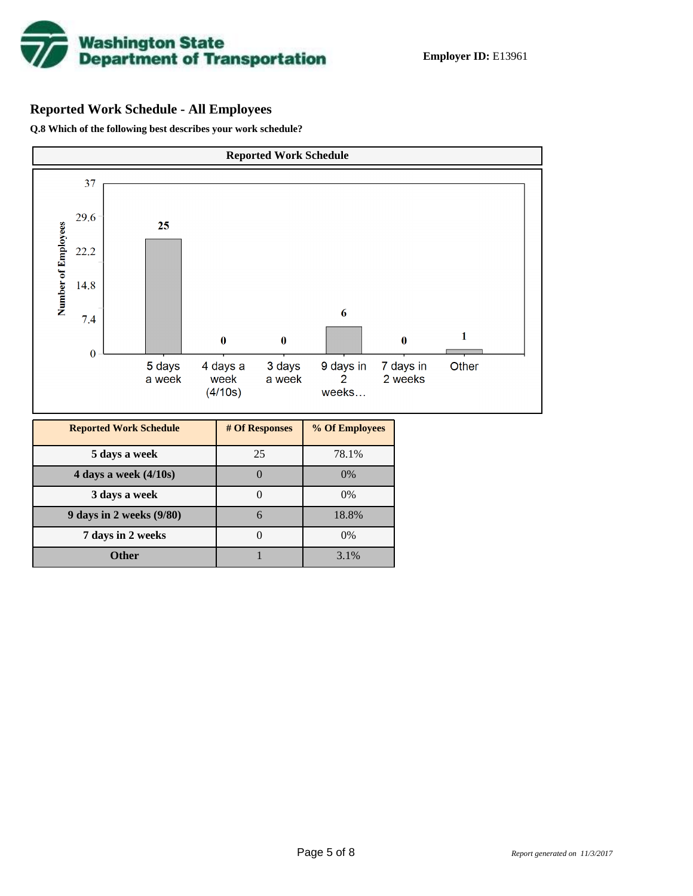

## **Reported Work Schedule - All Employees**

**Q.8 Which of the following best describes your work schedule?**

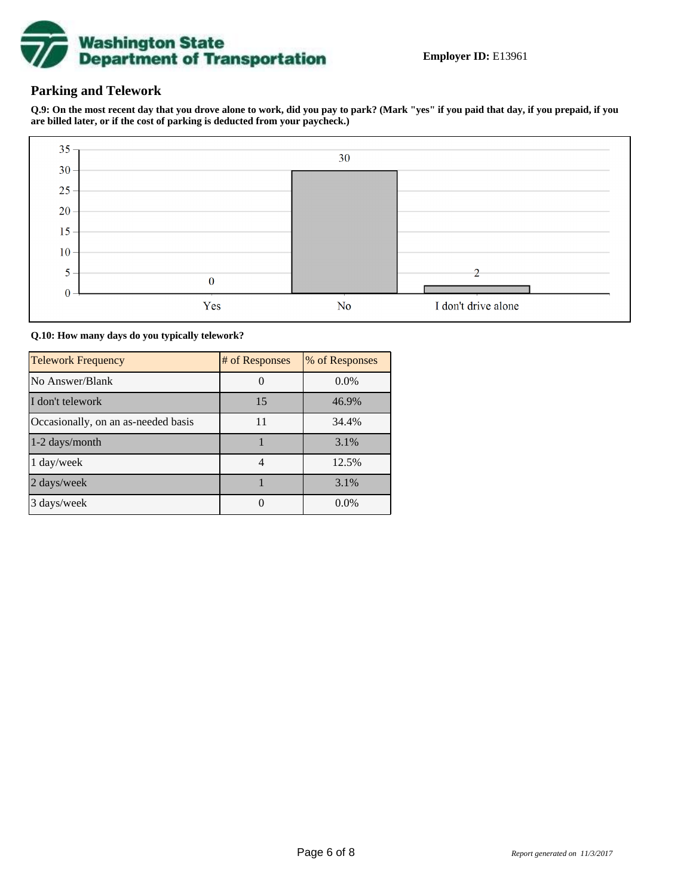

## **Parking and Telework**

**Q.9: On the most recent day that you drove alone to work, did you pay to park? (Mark "yes" if you paid that day, if you prepaid, if you are billed later, or if the cost of parking is deducted from your paycheck.)**



**Q.10: How many days do you typically telework?**

| <b>Telework Frequency</b>           | # of Responses | % of Responses |
|-------------------------------------|----------------|----------------|
| No Answer/Blank                     |                | $0.0\%$        |
| I don't telework                    | 15             | 46.9%          |
| Occasionally, on an as-needed basis | 11             | 34.4%          |
| 1-2 days/month                      |                | 3.1%           |
| 1 day/week                          |                | 12.5%          |
| 2 days/week                         |                | 3.1%           |
| 3 days/week                         |                | $0.0\%$        |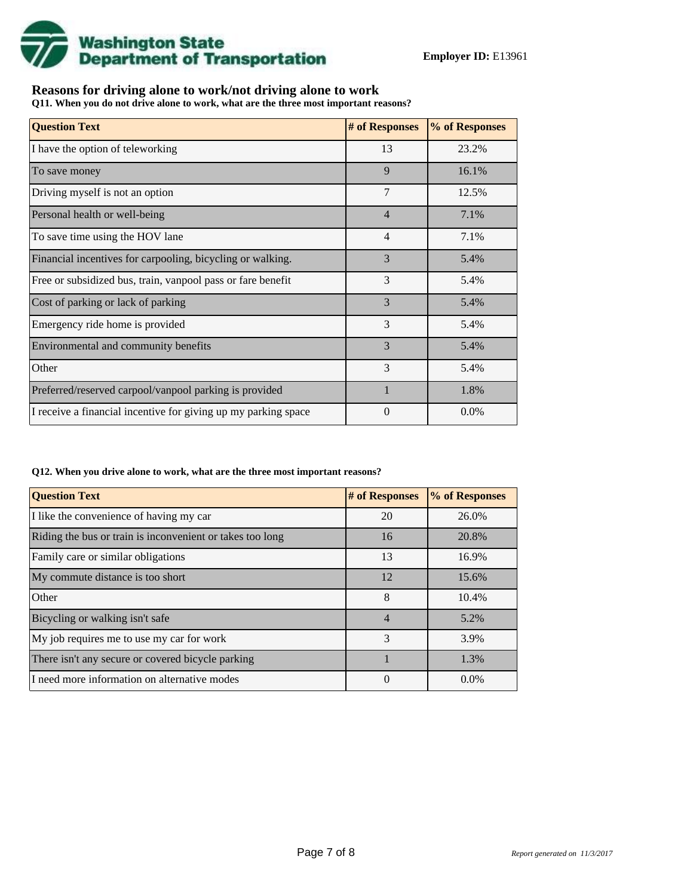

## **Reasons for driving alone to work/not driving alone to work**

**Q11. When you do not drive alone to work, what are the three most important reasons?**

| <b>Question Text</b>                                           | # of Responses | % of Responses |
|----------------------------------------------------------------|----------------|----------------|
| I have the option of teleworking                               | 13             | 23.2%          |
| To save money                                                  | 9              | 16.1%          |
| Driving myself is not an option                                | 7              | 12.5%          |
| Personal health or well-being                                  | $\overline{4}$ | 7.1%           |
| To save time using the HOV lane                                | $\overline{4}$ | 7.1%           |
| Financial incentives for carpooling, bicycling or walking.     | 3              | 5.4%           |
| Free or subsidized bus, train, vanpool pass or fare benefit    | 3              | 5.4%           |
| Cost of parking or lack of parking                             | 3              | 5.4%           |
| Emergency ride home is provided                                | 3              | 5.4%           |
| Environmental and community benefits                           | 3              | 5.4%           |
| Other                                                          | 3              | 5.4%           |
| Preferred/reserved carpool/vanpool parking is provided         | $\mathbf{1}$   | 1.8%           |
| I receive a financial incentive for giving up my parking space | $\Omega$       | $0.0\%$        |

#### **Q12. When you drive alone to work, what are the three most important reasons?**

| <b>Question Text</b>                                      | # of Responses | % of Responses |
|-----------------------------------------------------------|----------------|----------------|
| I like the convenience of having my car                   | 20             | 26.0%          |
| Riding the bus or train is inconvenient or takes too long | 16             | 20.8%          |
| Family care or similar obligations                        | 13             | 16.9%          |
| My commute distance is too short                          | 12             | 15.6%          |
| Other                                                     | 8              | 10.4%          |
| Bicycling or walking isn't safe                           | $\overline{4}$ | 5.2%           |
| My job requires me to use my car for work                 | 3              | 3.9%           |
| There isn't any secure or covered bicycle parking         |                | 1.3%           |
| I need more information on alternative modes              | 0              | $0.0\%$        |